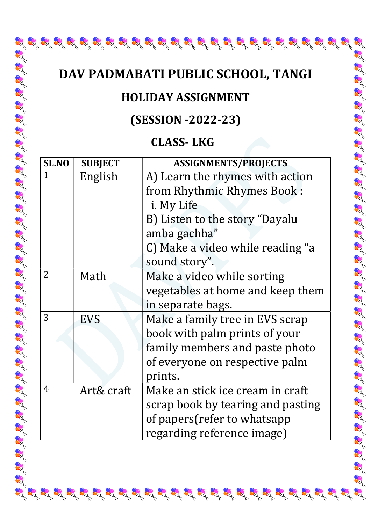# DAV PADMABATI PUBLIC SCHOOL, TANGI

R

 $\mathcal{L}_1^2 \mathcal{L}_2^3 \mathcal{L}_3^4 \mathcal{L}_3^4 \mathcal{L}_4^5 \mathcal{L}_5^4 \mathcal{L}_6^5 \mathcal{L}_6^4 \mathcal{L}_7^5 \mathcal{L}_8^5 \mathcal{L}_8^5 \mathcal{L}_8^5 \mathcal{L}_8^5 \mathcal{L}_8^4 \mathcal{L}_9^5 \mathcal{L}_9^5 \mathcal{L}_9^5 \mathcal{L}_9^5 \mathcal{L}_9^5 \mathcal{L}_9^5 \mathcal{L}_9^5 \mathcal{L}_9^5 \mathcal{L}_9^5 \mathcal{L}_9^5 \mathcal{$ 

R

AA

RA

#### HOLIDAY ASSIGNMENT

# (SESSION -2022-23)

## CLASS- LKG

| SL.NO          | <b>SUBJECT</b> | <b>ASSIGNMENTS/PROJECTS</b>       |
|----------------|----------------|-----------------------------------|
| $\mathbf{1}$   | English        | A) Learn the rhymes with action   |
|                |                | from Rhythmic Rhymes Book:        |
|                |                | <i>i</i> . My Life                |
|                |                | B) Listen to the story "Dayalu    |
|                |                | amba gachha"                      |
|                |                | C) Make a video while reading "a  |
|                |                | sound story".                     |
| 2              | Math           | Make a video while sorting        |
|                |                | vegetables at home and keep them  |
|                |                | in separate bags.                 |
| 3              | <b>EVS</b>     | Make a family tree in EVS scrap   |
|                |                | book with palm prints of your     |
|                |                | family members and paste photo    |
|                |                | of everyone on respective palm    |
|                |                | prints.                           |
| $\overline{4}$ | Art& craft     | Make an stick ice cream in craft  |
|                |                | scrap book by tearing and pasting |
|                |                | of papers (refer to whatsapp      |
|                |                | regarding reference image)        |

 $\mathcal{L}^{2}_{\mathcal{A}}\mathcal{L}^{3}_{\mathcal{A}}\mathcal{L}^{4}_{\mathcal{A}}\mathcal{L}^{4}_{\mathcal{A}}\mathcal{L}^{4}_{\mathcal{A}}\mathcal{L}^{4}_{\mathcal{A}}\mathcal{L}^{4}_{\mathcal{A}}\mathcal{L}^{4}_{\mathcal{A}}\mathcal{L}^{4}_{\mathcal{A}}\mathcal{L}^{4}_{\mathcal{A}}\mathcal{L}^{4}_{\mathcal{A}}\mathcal{L}^{4}_{\mathcal{A}}\mathcal{L}^{4}_{\mathcal{A}}\mathcal{L}^{4}_{\mathcal{A}}\mathcal{L}^{4}_{\$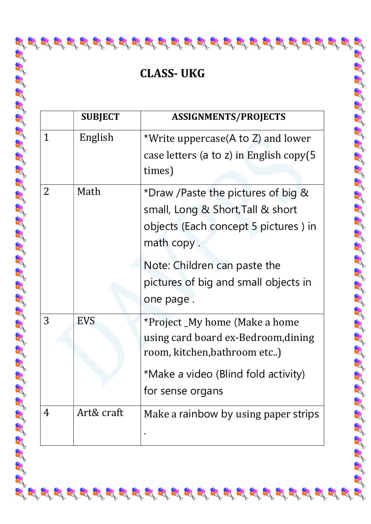# CLASS- UKG

2

|   | <b>SUBJECT</b> | <b>ASSIGNMENTS/PROJECTS</b>                                                                                                                                     |
|---|----------------|-----------------------------------------------------------------------------------------------------------------------------------------------------------------|
| 1 | English        | *Write uppercase(A to Z) and lower<br>case letters (a to z) in English copy(5<br>times)                                                                         |
| 2 | Math           | *Draw /Paste the pictures of big &<br>small, Long & Short, Tall & short<br>objects (Each concept 5 pictures) in<br>math copy.                                   |
|   |                | Note: Children can paste the<br>pictures of big and small objects in<br>one page.                                                                               |
| 3 | <b>EVS</b>     | *Project_My home (Make a home<br>using card board ex-Bedroom, dining<br>room, kitchen, bathroom etc)<br>*Make a video (Blind fold activity)<br>for sense organs |
| 4 | Art& craft     | Make a rainbow by using paper strips                                                                                                                            |

 $\mathscr{L} \mathscr{L} \mathscr{L} \mathscr{L} \mathscr{L} \mathscr{L} \mathscr{L} \mathscr{L} \mathscr{L} \mathscr{L} \mathscr{L} \mathscr{L} \mathscr{L} \mathscr{L} \mathscr{L} \mathscr{L} \mathscr{L} \mathscr{L} \mathscr{L} \mathscr{L} \mathscr{L} \mathscr{L} \mathscr{L} \mathscr{L} \mathscr{L} \mathscr{L} \mathscr{L} \mathscr{L} \mathscr{L} \mathscr{L} \mathscr{L} \mathscr{L} \mathscr{L} \mathscr{L} \mathscr{L} \mathscr{L} \mathscr{$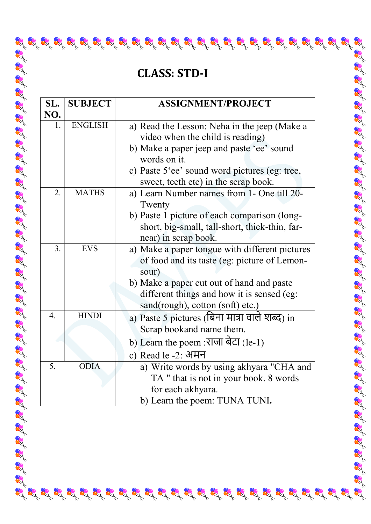## CLASS: STD-I

2

| SL.              | <b>SUBJECT</b> | <b>ASSIGNMENT/PROJECT</b>                                                                                                                                                                                                              |
|------------------|----------------|----------------------------------------------------------------------------------------------------------------------------------------------------------------------------------------------------------------------------------------|
| NO.              |                |                                                                                                                                                                                                                                        |
| 1.               | <b>ENGLISH</b> | a) Read the Lesson: Neha in the jeep (Make a<br>video when the child is reading)<br>b) Make a paper jeep and paste 'ee' sound<br>words on it.<br>c) Paste 5'ee' sound word pictures (eg: tree,<br>sweet, teeth etc) in the scrap book. |
| 2.               | <b>MATHS</b>   | a) Learn Number names from 1- One till 20-<br>Twenty<br>b) Paste 1 picture of each comparison (long-<br>short, big-small, tall-short, thick-thin, far-<br>near) in scrap book.                                                         |
| 3.               | <b>EVS</b>     | a) Make a paper tongue with different pictures<br>of food and its taste (eg: picture of Lemon-<br>sour)<br>b) Make a paper cut out of hand and paste<br>different things and how it is sensed (eg:<br>sand(rough), cotton (soft) etc.) |
| $\overline{4}$ . | <b>HINDI</b>   | a) Paste 5 pictures (बिना मात्रा वाले शब्द) in<br>Scrap bookand name them.<br>b) Learn the poem :राजा बेटा (le-1)<br>c) Read le -2: अमन                                                                                                |
| 5.               | <b>ODIA</b>    | a) Write words by using akhyara "CHA and<br>TA " that is not in your book. 8 words<br>for each akhyara.<br>b) Learn the poem: TUNA TUNI.                                                                                               |

 $\mathscr{L} \mathscr{L} \mathscr{L} \mathscr{L} \mathscr{L} \mathscr{L} \mathscr{L} \mathscr{L} \mathscr{L} \mathscr{L} \mathscr{L} \mathscr{L} \mathscr{L} \mathscr{L} \mathscr{L} \mathscr{L} \mathscr{L} \mathscr{L} \mathscr{L} \mathscr{L} \mathscr{L} \mathscr{L} \mathscr{L} \mathscr{L} \mathscr{L} \mathscr{L} \mathscr{L} \mathscr{L} \mathscr{L} \mathscr{L} \mathscr{L} \mathscr{L} \mathscr{L} \mathscr{L} \mathscr{L} \mathscr{L} \mathscr{$